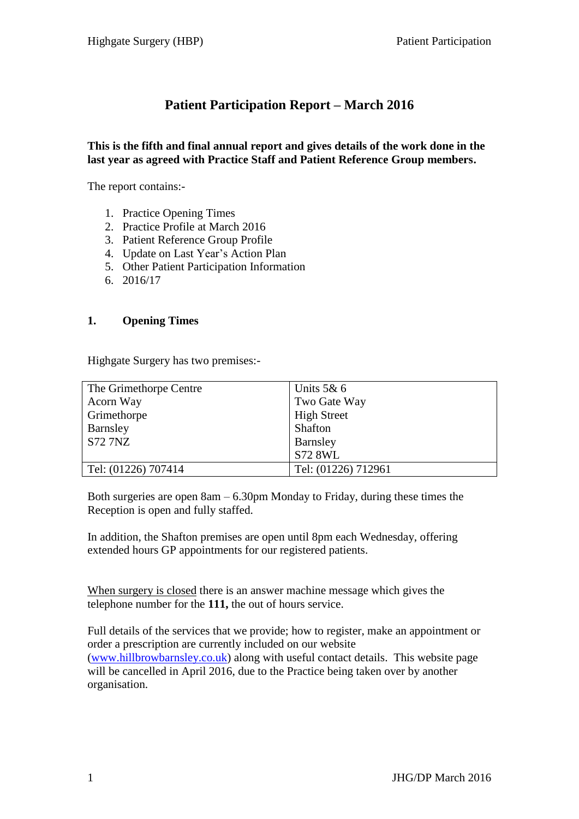# **Patient Participation Report – March 2016**

#### **This is the fifth and final annual report and gives details of the work done in the last year as agreed with Practice Staff and Patient Reference Group members.**

The report contains:-

- 1. Practice Opening Times
- 2. Practice Profile at March 2016
- 3. Patient Reference Group Profile
- 4. Update on Last Year's Action Plan
- 5. Other Patient Participation Information
- 6. 2016/17

#### **1. Opening Times**

Highgate Surgery has two premises:-

| The Grimethorpe Centre | Units $5&6$         |
|------------------------|---------------------|
| Acorn Way              | Two Gate Way        |
| Grimethorpe            | <b>High Street</b>  |
| Barnsley               | Shafton             |
| <b>S72 7NZ</b>         | Barnsley            |
|                        | <b>S72 8WL</b>      |
| Tel: (01226) 707414    | Tel: (01226) 712961 |

Both surgeries are open  $8am - 6.30pm$  Monday to Friday, during these times the Reception is open and fully staffed.

In addition, the Shafton premises are open until 8pm each Wednesday, offering extended hours GP appointments for our registered patients.

When surgery is closed there is an answer machine message which gives the telephone number for the **111,** the out of hours service.

Full details of the services that we provide; how to register, make an appointment or order a prescription are currently included on our website [\(www.hillbrowbarnsley.co.uk\)](http://www.hillbrowbarnsley.co.uk/) along with useful contact details. This website page will be cancelled in April 2016, due to the Practice being taken over by another organisation.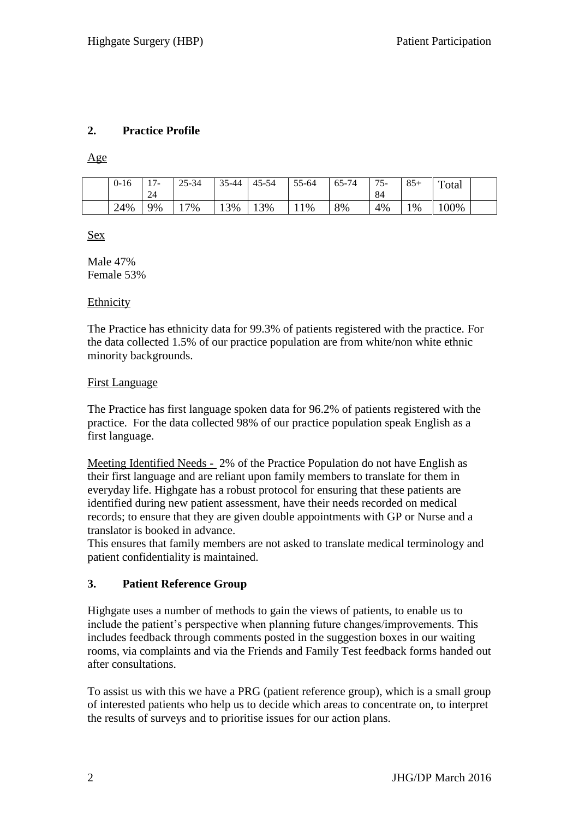### **2. Practice Profile**

Age

| $0 - 16$ | $\overline{ }$<br>. .<br>24 | $25 - 34$ | $\sim$ $\sim$<br>5-44 | 45-54 | 55-64 | 65-74 | 75<br>$\mathbf{r}$<br>◡<br>84 | $Q \subset$<br>o - 1 | $\mathbf{r}$<br>`otal |  |
|----------|-----------------------------|-----------|-----------------------|-------|-------|-------|-------------------------------|----------------------|-----------------------|--|
| 24%      | 9%                          | 7%        | 3%<br>⊥ J             | 13%   | 1%    | 8%    | 4%                            | 1%                   | 00%                   |  |

Sex

Male 47% Female 53%

#### Ethnicity

The Practice has ethnicity data for 99.3% of patients registered with the practice. For the data collected 1.5% of our practice population are from white/non white ethnic minority backgrounds.

#### First Language

The Practice has first language spoken data for 96.2% of patients registered with the practice. For the data collected 98% of our practice population speak English as a first language.

Meeting Identified Needs - 2% of the Practice Population do not have English as their first language and are reliant upon family members to translate for them in everyday life. Highgate has a robust protocol for ensuring that these patients are identified during new patient assessment, have their needs recorded on medical records; to ensure that they are given double appointments with GP or Nurse and a translator is booked in advance.

This ensures that family members are not asked to translate medical terminology and patient confidentiality is maintained.

### **3. Patient Reference Group**

Highgate uses a number of methods to gain the views of patients, to enable us to include the patient's perspective when planning future changes/improvements. This includes feedback through comments posted in the suggestion boxes in our waiting rooms, via complaints and via the Friends and Family Test feedback forms handed out after consultations.

To assist us with this we have a PRG (patient reference group), which is a small group of interested patients who help us to decide which areas to concentrate on, to interpret the results of surveys and to prioritise issues for our action plans.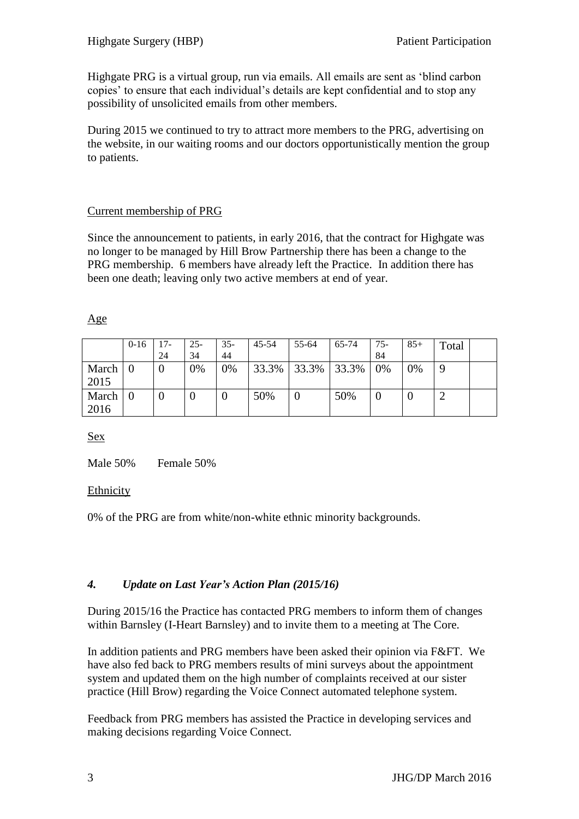Highgate PRG is a virtual group, run via emails. All emails are sent as 'blind carbon copies' to ensure that each individual's details are kept confidential and to stop any possibility of unsolicited emails from other members.

During 2015 we continued to try to attract more members to the PRG, advertising on the website, in our waiting rooms and our doctors opportunistically mention the group to patients.

# Current membership of PRG

Since the announcement to patients, in early 2016, that the contract for Highgate was no longer to be managed by Hill Brow Partnership there has been a change to the PRG membership. 6 members have already left the Practice. In addition there has been one death; leaving only two active members at end of year.

|               | $0 - 16$ | $17-$<br>24      | $25 -$<br>34 | $35-$<br>44 | 45-54 | 55-64 | 65-74 | $75-$<br>84 | $85+$ | Total |  |
|---------------|----------|------------------|--------------|-------------|-------|-------|-------|-------------|-------|-------|--|
| March<br>2015 |          | $\theta$         | 0%           | 0%          | 33.3% | 33.3% | 33.3% | 0%          | 0%    | 9     |  |
| March<br>2016 |          | $\boldsymbol{0}$ |              | U           | 50%   |       | 50%   | U           |       |       |  |

Sex

Male 50% Female 50%

### Ethnicity

0% of the PRG are from white/non-white ethnic minority backgrounds.

# *4. Update on Last Year's Action Plan (2015/16)*

During 2015/16 the Practice has contacted PRG members to inform them of changes within Barnsley (I-Heart Barnsley) and to invite them to a meeting at The Core.

In addition patients and PRG members have been asked their opinion via F&FT. We have also fed back to PRG members results of mini surveys about the appointment system and updated them on the high number of complaints received at our sister practice (Hill Brow) regarding the Voice Connect automated telephone system.

Feedback from PRG members has assisted the Practice in developing services and making decisions regarding Voice Connect.

### Age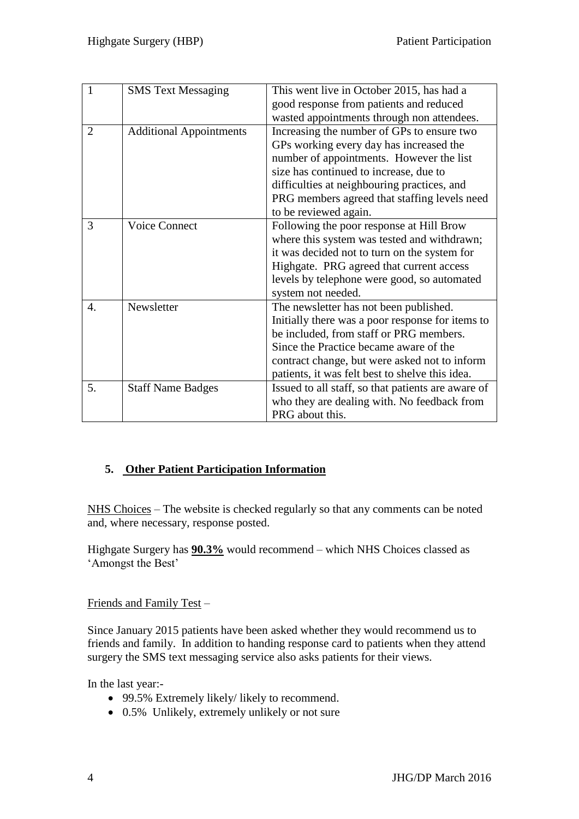| 1                | <b>SMS Text Messaging</b>      | This went live in October 2015, has had a          |
|------------------|--------------------------------|----------------------------------------------------|
|                  |                                | good response from patients and reduced            |
|                  |                                | wasted appointments through non attendees.         |
| $\overline{2}$   | <b>Additional Appointments</b> | Increasing the number of GPs to ensure two         |
|                  |                                | GPs working every day has increased the            |
|                  |                                | number of appointments. However the list           |
|                  |                                | size has continued to increase, due to             |
|                  |                                | difficulties at neighbouring practices, and        |
|                  |                                | PRG members agreed that staffing levels need       |
|                  |                                | to be reviewed again.                              |
| 3                | <b>Voice Connect</b>           | Following the poor response at Hill Brow           |
|                  |                                | where this system was tested and withdrawn;        |
|                  |                                | it was decided not to turn on the system for       |
|                  |                                | Highgate. PRG agreed that current access           |
|                  |                                | levels by telephone were good, so automated        |
|                  |                                | system not needed.                                 |
| $\overline{4}$ . | Newsletter                     | The newsletter has not been published.             |
|                  |                                | Initially there was a poor response for items to   |
|                  |                                | be included, from staff or PRG members.            |
|                  |                                | Since the Practice became aware of the             |
|                  |                                | contract change, but were asked not to inform      |
|                  |                                | patients, it was felt best to shelve this idea.    |
| 5.               | <b>Staff Name Badges</b>       | Issued to all staff, so that patients are aware of |
|                  |                                | who they are dealing with. No feedback from        |
|                  |                                | PRG about this.                                    |

# **5. Other Patient Participation Information**

NHS Choices – The website is checked regularly so that any comments can be noted and, where necessary, response posted.

Highgate Surgery has **90.3%** would recommend – which NHS Choices classed as 'Amongst the Best'

Friends and Family Test –

Since January 2015 patients have been asked whether they would recommend us to friends and family. In addition to handing response card to patients when they attend surgery the SMS text messaging service also asks patients for their views.

In the last year:-

- 99.5% Extremely likely/ likely to recommend.
- 0.5% Unlikely, extremely unlikely or not sure